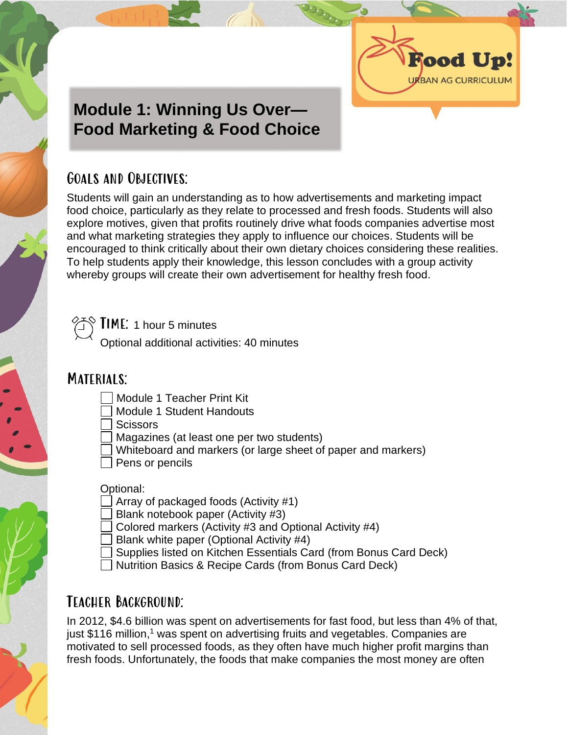

# **Module 1: Winning Us Over— Food Marketing & Food Choice**

## Goals and Objectives:

Students will gain an understanding as to how advertisements and marketing impact food choice, particularly as they relate to processed and fresh foods. Students will also explore motives, given that profits routinely drive what foods companies advertise most and what marketing strategies they apply to influence our choices. Students will be encouraged to think critically about their own dietary choices considering these realities. To help students apply their knowledge, this lesson concludes with a group activity whereby groups will create their own advertisement for healthy fresh food.



Time: 1 hour 5 minutes

Optional additional activities: 40 minutes

# MATERIALS:

- Module 1 Teacher Print Kit
- Module 1 Student Handouts
- **Scissors**
- Magazines (at least one per two students)
- Whiteboard and markers (or large sheet of paper and markers)
- Pens or pencils

Optional:

- Array of packaged foods (Activity #1)
- Blank notebook paper (Activity #3)
- Colored markers (Activity #3 and Optional Activity #4)
- Blank white paper (Optional Activity #4)
- Supplies listed on Kitchen Essentials Card (from Bonus Card Deck)
- Nutrition Basics & Recipe Cards (from Bonus Card Deck)

# Teacher Background:

In 2012, \$4.6 billion was spent on advertisements for fast food, but less than 4% of that, just \$116 million,<sup>1</sup> was spent on advertising fruits and vegetables. Companies are motivated to sell processed foods, as they often have much higher profit margins than fresh foods. Unfortunately, the foods that make companies the most money are often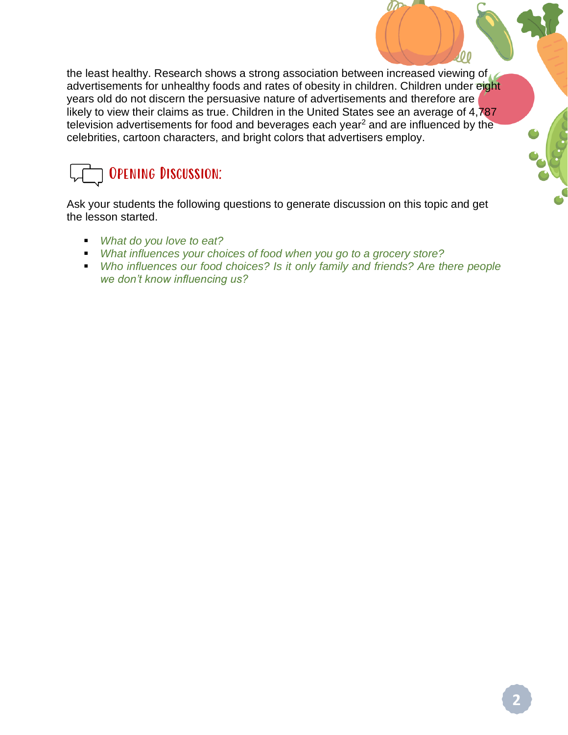the least healthy. Research shows a strong association between increased viewing of advertisements for unhealthy foods and rates of obesity in children. Children under eight years old do not discern the persuasive nature of advertisements and therefore are likely to view their claims as true. Children in the United States see an average of 4,787 television advertisements for food and beverages each year<sup>2</sup> and are influenced by the celebrities, cartoon characters, and bright colors that advertisers employ.

# Opening Discussion:

Ask your students the following questions to generate discussion on this topic and get the lesson started.

- *What do you love to eat?*
- *What influences your choices of food when you go to a grocery store?*
- *Who influences our food choices? Is it only family and friends? Are there people we don't know influencing us?*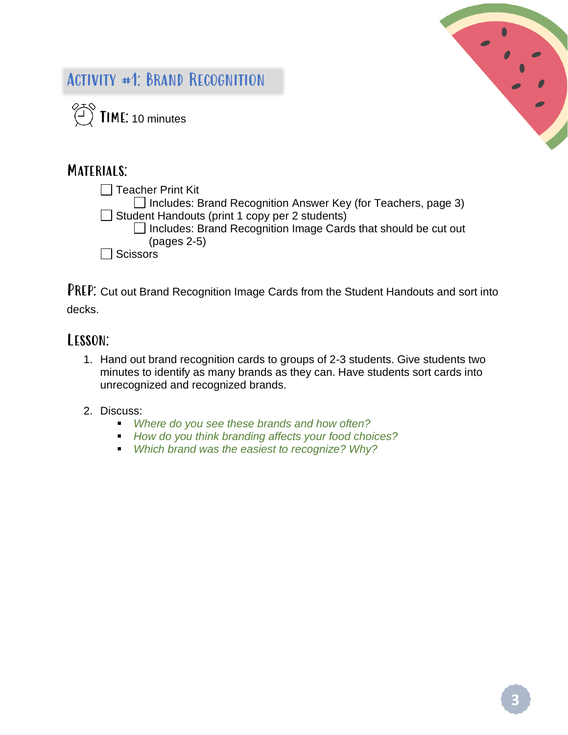

# Activity #1: Brand Recognition



### MATERIALS:

 $\Box$  Teacher Print Kit  $\Box$  Includes: Brand Recognition Answer Key (for Teachers, page 3)  $\Box$  Student Handouts (print 1 copy per 2 students)  $\Box$  Includes: Brand Recognition Image Cards that should be cut out (pages 2-5)  $\Box$  Scissors

PREP: Cut out Brand Recognition Image Cards from the Student Handouts and sort into decks.

### Lesson:

1. Hand out brand recognition cards to groups of 2-3 students. Give students two minutes to identify as many brands as they can. Have students sort cards into unrecognized and recognized brands.

### 2. Discuss:

- *Where do you see these brands and how often?*
- *How do you think branding affects your food choices?*
- *Which brand was the easiest to recognize? Why?*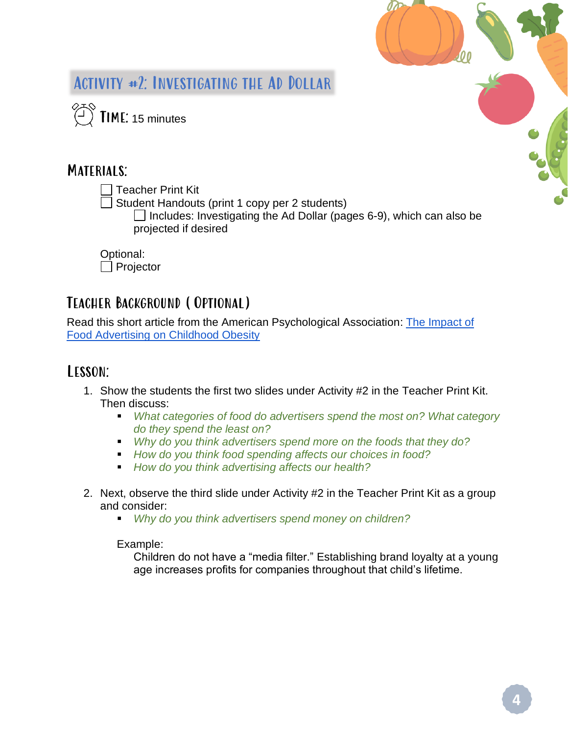

# Activity #2: Investigating the Ad Dollar

 $\begin{pmatrix} 1 \\ 1 \end{pmatrix}$  TIME: 15 minutes

### MATERIALS:

 $\Box$  Teacher Print Kit

 $\Box$  Student Handouts (print 1 copy per 2 students)

 $\Box$  Includes: Investigating the Ad Dollar (pages 6-9), which can also be projected if desired

Optional:  $\Box$  Projector

# Teacher Background (Optional)

Read this short article from the American Psychological Association: [The Impact of](https://www.apa.org/topics/obesity/food-advertising-children)  [Food Advertising on Childhood Obesity](https://www.apa.org/topics/obesity/food-advertising-children)

## Lesson:

- 1. Show the students the first two slides under Activity #2 in the Teacher Print Kit. Then discuss:
	- *What categories of food do advertisers spend the most on? What category do they spend the least on?*
	- *Why do you think advertisers spend more on the foods that they do?*
	- *How do you think food spending affects our choices in food?*
	- *How do you think advertising affects our health?*
- 2. Next, observe the third slide under Activity #2 in the Teacher Print Kit as a group and consider:
	- *Why do you think advertisers spend money on children?*

### Example:

Children do not have a "media filter." Establishing brand loyalty at a young age increases profits for companies throughout that child's lifetime.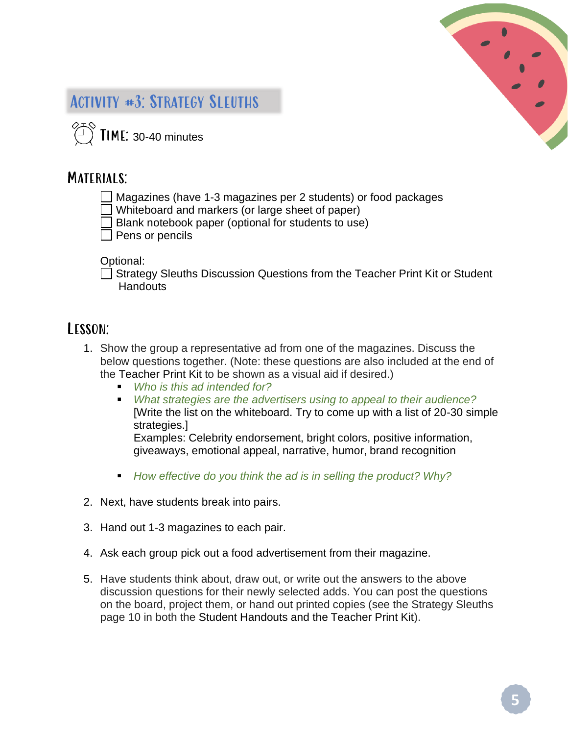

# Activity #3: Strategy Sleuths

 $\langle \widehat{\phantom{a}} \rangle$  TIME: 30-40 minutes

### MATERIALS:

- Magazines (have 1-3 magazines per 2 students) or food packages
- Whiteboard and markers (or large sheet of paper)
- Blank notebook paper (optional for students to use)
- Pens or pencils

#### Optional:

□ Strategy Sleuths Discussion Questions from the Teacher Print Kit or Student **Handouts** 

### Lesson:

- 1. Show the group a representative ad from one of the magazines. Discuss the below questions together. (Note: these questions are also included at the end of the Teacher Print Kit to be shown as a visual aid if desired.)
	- *Who is this ad intended for?*
	- *What strategies are the advertisers using to appeal to their audience?* [Write the list on the whiteboard. Try to come up with a list of 20-30 simple strategies.]

Examples: Celebrity endorsement, bright colors, positive information, giveaways, emotional appeal, narrative, humor, brand recognition

- *How effective do you think the ad is in selling the product? Why?*
- 2. Next, have students break into pairs.
- 3. Hand out 1-3 magazines to each pair.
- 4. Ask each group pick out a food advertisement from their magazine.
- 5. Have students think about, draw out, or write out the answers to the above discussion questions for their newly selected adds. You can post the questions on the board, project them, or hand out printed copies (see the Strategy Sleuths page 10 in both the Student Handouts and the Teacher Print Kit).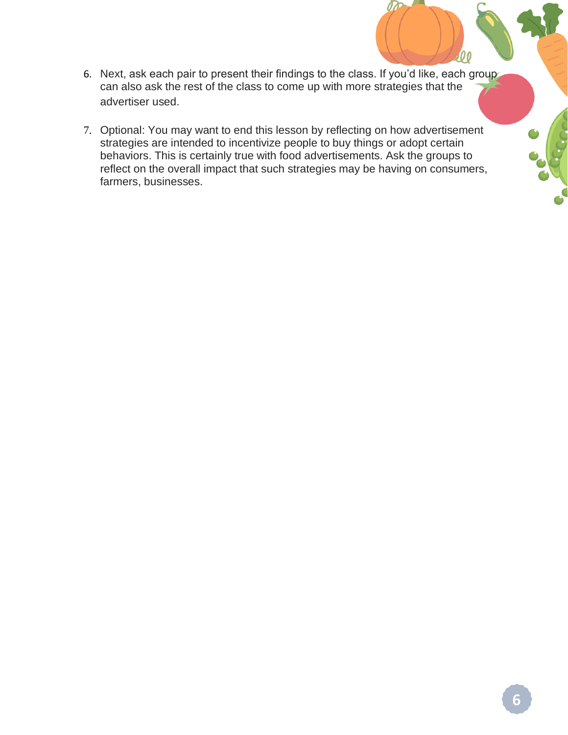- 6. Next, ask each pair to present their findings to the class. If you'd like, each group can also ask the rest of the class to come up with more strategies that the advertiser used.
- 7. Optional: You may want to end this lesson by reflecting on how advertisement strategies are intended to incentivize people to buy things or adopt certain behaviors. This is certainly true with food advertisements. Ask the groups to reflect on the overall impact that such strategies may be having on consumers, farmers, businesses.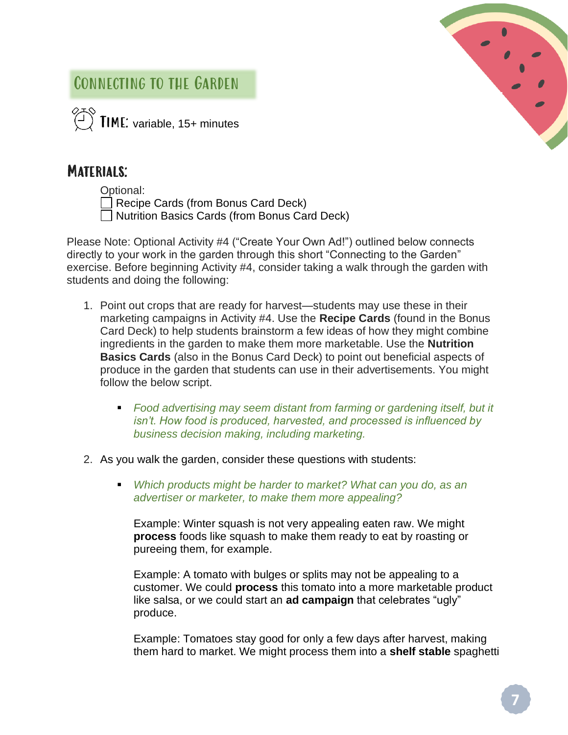# Connecting to the Garden

 $\overleftrightarrow{C}$  **TIME:** variable, 15+ minutes

# MATERIALS:

| Optional: |  |
|-----------|--|
|           |  |

Recipe Cards (from Bonus Card Deck) **Nutrition Basics Cards (from Bonus Card Deck)** 

Please Note: Optional Activity #4 ("Create Your Own Ad!") outlined below connects directly to your work in the garden through this short "Connecting to the Garden" exercise. Before beginning Activity #4, consider taking a walk through the garden with students and doing the following:

- 1. Point out crops that are ready for harvest—students may use these in their marketing campaigns in Activity #4. Use the **Recipe Cards** (found in the Bonus Card Deck) to help students brainstorm a few ideas of how they might combine ingredients in the garden to make them more marketable. Use the **Nutrition Basics Cards** (also in the Bonus Card Deck) to point out beneficial aspects of produce in the garden that students can use in their advertisements. You might follow the below script.
	- *Food advertising may seem distant from farming or gardening itself, but it isn't. How food is produced, harvested, and processed is influenced by business decision making, including marketing.*
- 2. As you walk the garden, consider these questions with students:
	- *Which products might be harder to market? What can you do, as an advertiser or marketer, to make them more appealing?*

Example: Winter squash is not very appealing eaten raw. We might **process** foods like squash to make them ready to eat by roasting or pureeing them, for example.

Example: A tomato with bulges or splits may not be appealing to a customer. We could **process** this tomato into a more marketable product like salsa, or we could start an **ad campaign** that celebrates "ugly" produce.

Example: Tomatoes stay good for only a few days after harvest, making them hard to market. We might process them into a **shelf stable** spaghetti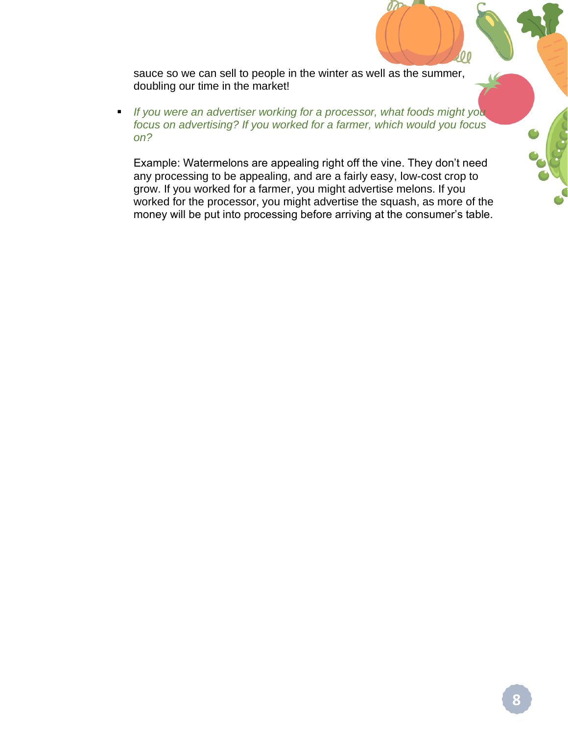sauce so we can sell to people in the winter as well as the summer, doubling our time in the market!

■ *If you were an advertiser working for a processor, what foods might you focus on advertising? If you worked for a farmer, which would you focus on?*

Example: Watermelons are appealing right off the vine. They don't need any processing to be appealing, and are a fairly easy, low-cost crop to grow. If you worked for a farmer, you might advertise melons. If you worked for the processor, you might advertise the squash, as more of the money will be put into processing before arriving at the consumer's table.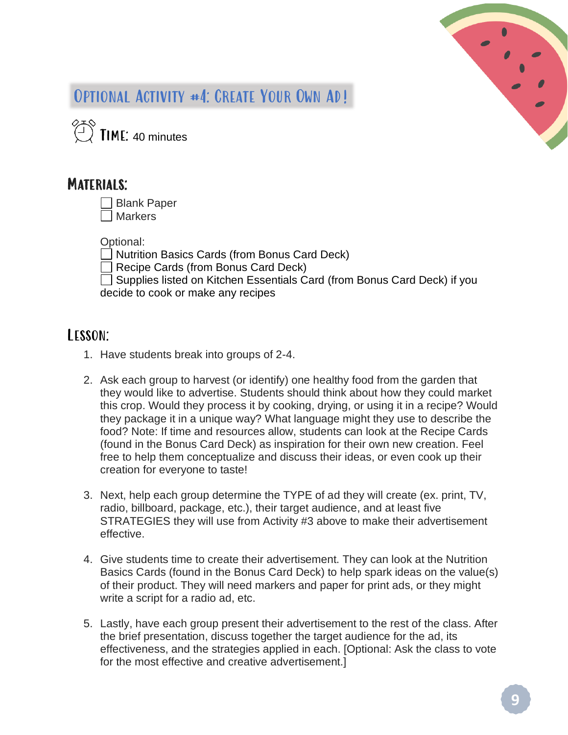

# OPTIONAL ACTIVITY #4: CREATE YOUR OWN AD!

 $\overbrace{C}^{\otimes 3}$  TIME: 40 minutes

### MATERIALS:

| $\Box$ Blank Paper |
|--------------------|
| □ Markers          |

Optional:

Nutrition Basics Cards (from Bonus Card Deck)

Recipe Cards (from Bonus Card Deck)

□ Supplies listed on Kitchen Essentials Card (from Bonus Card Deck) if you decide to cook or make any recipes

## Lesson:

- 1. Have students break into groups of 2-4.
- 2. Ask each group to harvest (or identify) one healthy food from the garden that they would like to advertise. Students should think about how they could market this crop. Would they process it by cooking, drying, or using it in a recipe? Would they package it in a unique way? What language might they use to describe the food? Note: If time and resources allow, students can look at the Recipe Cards (found in the Bonus Card Deck) as inspiration for their own new creation. Feel free to help them conceptualize and discuss their ideas, or even cook up their creation for everyone to taste!
- 3. Next, help each group determine the TYPE of ad they will create (ex. print, TV, radio, billboard, package, etc.), their target audience, and at least five STRATEGIES they will use from Activity #3 above to make their advertisement effective.
- 4. Give students time to create their advertisement. They can look at the Nutrition Basics Cards (found in the Bonus Card Deck) to help spark ideas on the value(s) of their product. They will need markers and paper for print ads, or they might write a script for a radio ad, etc.
- 5. Lastly, have each group present their advertisement to the rest of the class. After the brief presentation, discuss together the target audience for the ad, its effectiveness, and the strategies applied in each. [Optional: Ask the class to vote for the most effective and creative advertisement.]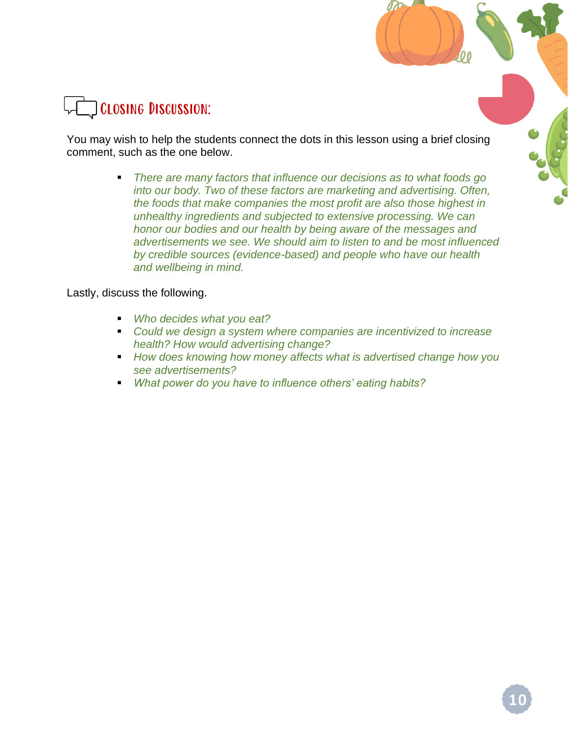

You may wish to help the students connect the dots in this lesson using a brief closing comment, such as the one below.

> ■ *There are many factors that influence our decisions as to what foods go into our body. Two of these factors are marketing and advertising. Often, the foods that make companies the most profit are also those highest in unhealthy ingredients and subjected to extensive processing. We can honor our bodies and our health by being aware of the messages and advertisements we see. We should aim to listen to and be most influenced by credible sources (evidence-based) and people who have our health and wellbeing in mind.*

Lastly, discuss the following.

- *Who decides what you eat?*
- Could we design a system where companies are incentivized to increase *health? How would advertising change?*
- *How does knowing how money affects what is advertised change how you see advertisements?*
- *What power do you have to influence others' eating habits?*